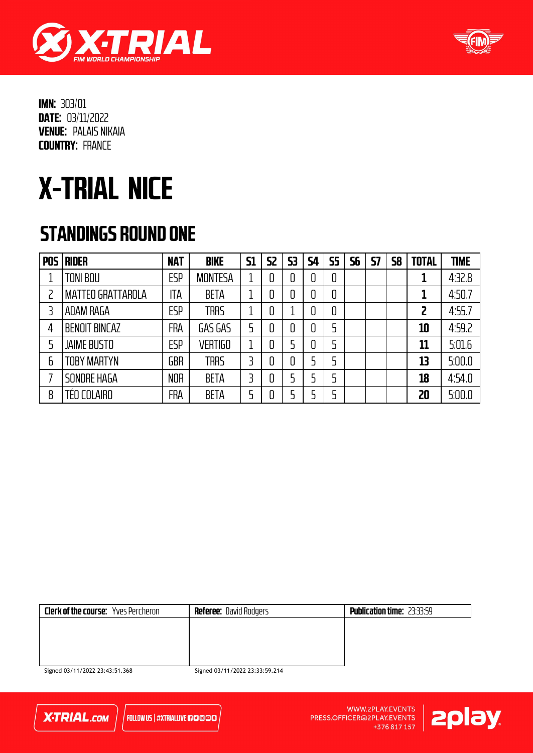



# X-TRIAL NICE

#### STANDINGS ROUND ONE

| <b>POS</b> | <b>RIDER</b>              | <b>NAT</b> | <b>BIKE</b>    | <b>S1</b> | S <sub>2</sub> | 53 | <b>S4</b> | <b>S5</b> | 56 | 57 | 58 | <b>TOTAL</b> | <b>TIME</b> |
|------------|---------------------------|------------|----------------|-----------|----------------|----|-----------|-----------|----|----|----|--------------|-------------|
|            | <b>TONI BOU</b>           | <b>ESP</b> | <b>MONTESA</b> |           | 0              | 0  | 0         | 0         |    |    |    |              | 4:32.8      |
|            | <b>MATTEO GRATTAROLA</b>  | ITA        | <b>BETA</b>    |           | 0              | 0  | 0         | 0         |    |    |    | 1            | 4:50.7      |
|            | ADAM RAGA                 | <b>ESP</b> | <b>TRRS</b>    |           | 0              |    | 0         | 0         |    |    |    | 2            | 4:55.7      |
| 4          | <b>BENOIT BINCAZ</b>      | <b>FRA</b> | GAS GAS        |           | 0              | 0  | 0         | 5         |    |    |    | 10           | 4:59.2      |
| 5          | <b>JAIME BUSTO</b>        | <b>ESP</b> | <b>VERTIGO</b> |           | 0              |    | 0         | 5         |    |    |    | 11           | 5:01.6      |
| 6          | <b><i>FOBY MARTYN</i></b> | <b>GBR</b> | <b>TRRS</b>    | 3         | 0              | 0  | 5         | 5         |    |    |    | 13           | 5:00.0      |
|            | SONDRE HAGA               | <b>NOR</b> | <b>BETA</b>    |           | 0              |    | 5         | 5         |    |    |    | 18           | 4:54.0      |
| 8          | TÉO COLAIRO               | <b>FRA</b> | <b>BETA</b>    |           | 0              |    | ל         | 5         |    |    |    | 20           | 5:00.0      |

| <b>Clerk of the course:</b> Yves Percheron | <b>Referee:</b> David Rodgers | <b>Publication time: 23:33:59</b> |
|--------------------------------------------|-------------------------------|-----------------------------------|
|                                            |                               |                                   |
|                                            |                               |                                   |
|                                            |                               |                                   |
|                                            |                               |                                   |

Signed 03/11/2022 23:43:51.368

Signed 03/11/2022 23:33:59.214



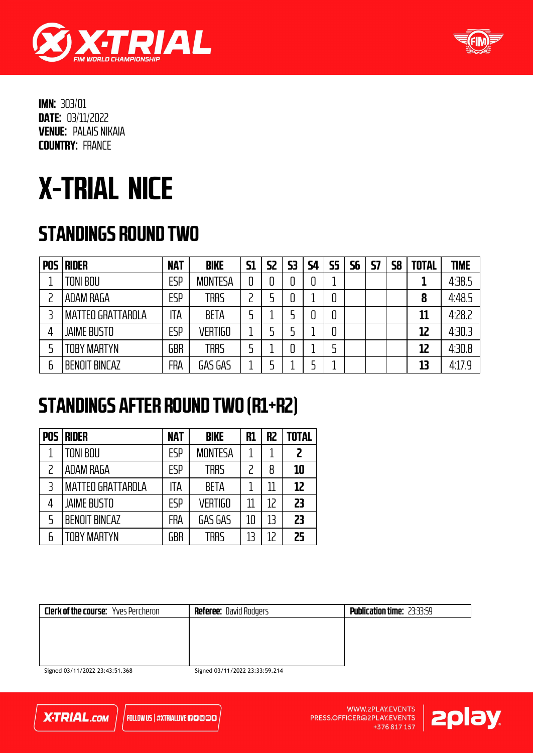



# X-TRIAL NICE

### STANDINGS ROUND TWO

| <b>POS</b> | <b>RIDER</b>             | <b>NAT</b> | <b>BIKE</b>    | <b>S1</b> | S2 | 53 | <b>S4</b> | <b>S5</b> | 56 | <b>S7</b> | <b>S8</b> | <b>TOTAL</b> | <b>TIME</b> |
|------------|--------------------------|------------|----------------|-----------|----|----|-----------|-----------|----|-----------|-----------|--------------|-------------|
|            | TONI BOU                 | <b>ESP</b> | <b>MONTESA</b> |           |    |    | 0         |           |    |           |           |              | 4:38.5      |
|            | ADAM RAGA                | <b>ESP</b> | <b>TRRS</b>    |           |    |    |           | 0         |    |           |           | 8            | 4:48.5      |
|            | <b>MATTEO GRATTAROLA</b> | ITA        | <b>BETA</b>    |           |    |    | 0         | 0         |    |           |           | 11           | 4:28.2      |
|            | <b>JAIME BUSTO</b>       | <b>ESP</b> | <b>VERTIGO</b> |           |    |    |           | 0         |    |           |           | 12           | 4:30.3      |
|            | TOBY MARTYN              | <b>GBR</b> | trrs           |           |    |    |           |           |    |           |           | 12           | 4:30.8      |
| 6          | <b>BENOIT BINCAZ</b>     | FRA        | GAS GAS        |           |    |    |           |           |    |           |           | 13           | 4.17.9      |

#### STANDINGS AFTER ROUND TWO (R1+R2)

| <b>POS</b>     | <b>RIDER</b>             | <b>NAT</b> | <b>BIKE</b>    | R1 | R <sub>2</sub> | <b>TOTAL</b> |
|----------------|--------------------------|------------|----------------|----|----------------|--------------|
|                | <b>TONI BOU</b>          | ESP        | <b>MONTESA</b> |    |                | 2            |
|                | ADAM RAGA                | ESP        | <b>TRRS</b>    |    | 8              | 10           |
| $\overline{3}$ | <b>MATTEO GRATTAROLA</b> | ITA        | <b>BETA</b>    |    | 11             | 12           |
| 4              | <b>JAIME BUSTO</b>       | ESP        | <b>VERTIGO</b> |    | 12             | 23           |
| 5              | <b>BENOIT BINCAZ</b>     | <b>FRA</b> | GAS GAS        | 10 | 13             | 23           |
| 6              | <b>TOBY MARTYN</b>       | GBR        | <b>TRRS</b>    |    | 12             | 25           |

| <b>Clerk of the course:</b> Yves Percheron | <b>Referee: David Rodgers</b>  | <b>Publication time: 23:33:59</b> |
|--------------------------------------------|--------------------------------|-----------------------------------|
|                                            |                                |                                   |
|                                            |                                |                                   |
|                                            |                                |                                   |
|                                            |                                |                                   |
| Signed 03/11/2022 23:43:51.368             | Signed 03/11/2022 23:33:59.214 |                                   |

**X-TRIAL.com** 

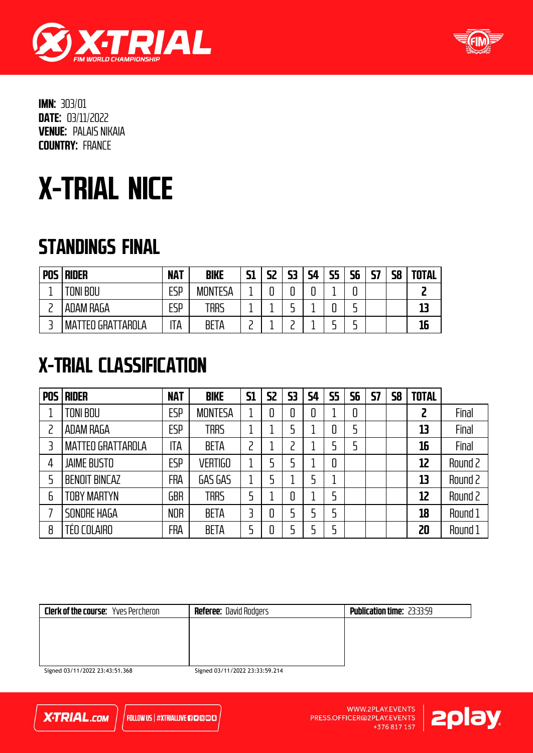



# X-TRIAL NICE

### STANDINGS FINAL

| <b>POS</b> | <b>RIDER</b>             | <b>NAT</b> | <b>BIKE</b>    | C1<br>┚┹ | 57<br>JL | 53 | 54 | <b>S5</b> | <b>S6</b> | 57 | S <sub>8</sub> | <b>TOTAL</b> |
|------------|--------------------------|------------|----------------|----------|----------|----|----|-----------|-----------|----|----------------|--------------|
|            | TONI BOU                 | ESP        | <b>MONTESA</b> |          |          |    | -  |           |           |    |                |              |
|            | ADAM RAGA                | ESP        | TRRS           |          |          |    |    |           |           |    |                | 13           |
|            | <b>MATTEO GRATTAROLA</b> | ۱TA        | <b>BETA</b>    |          |          |    |    |           |           |    |                | 16           |

### X-TRIAL CLASSIFICATION

| <b>POS</b> | <b>RIDER</b>             | <b>NAT</b> | <b>BIKE</b>    | <b>S1</b> | <b>S2</b> | 53 | <b>S4</b> | <b>S5</b> | 56 | <b>S7</b> | <b>S8</b> | <b>TOTAL</b>   |         |
|------------|--------------------------|------------|----------------|-----------|-----------|----|-----------|-----------|----|-----------|-----------|----------------|---------|
|            | TONI BOU                 | ESP        | <b>MONTESA</b> |           |           | 0  | 0         |           | 0  |           |           | $\overline{c}$ | Final   |
|            | <b>ADAM RAGA</b>         | <b>ESP</b> | <b>TRRS</b>    |           |           | 5  |           | 0         | 5  |           |           | 13             | Final   |
|            | <b>MATTEO GRATTAROLA</b> | ITA        | <b>BETA</b>    | っ         |           | っ  |           |           | 5  |           |           | 16             | Final   |
| 4          | <b>JAIME BUSTO</b>       | <b>ESP</b> | <b>VERTIGO</b> |           |           | 5  |           | 0         |    |           |           | 12             | Round 2 |
| 5          | <b>BENOIT BINCAZ</b>     | FRA        | GAS GAS        |           |           |    |           |           |    |           |           | 13             | Round 2 |
| 6          | TOBY MARTYN              | <b>GBR</b> | <b>TRRS</b>    | 5         |           | 0  |           | 5         |    |           |           | 12             | Round 2 |
|            | SONDRE HAGA              | <b>NOR</b> | <b>BETA</b>    |           |           | 5  | 5         | 5         |    |           |           | 18             | Round 1 |
| 8          | TÉO COLAIRO              | FRA        | <b>BETA</b>    | 5         |           | 5  |           | 5         |    |           |           | 20             | Round 1 |

| <b>Clerk of the course:</b> Yves Percheron | <b>Referee: David Rodgers</b> | <b>Publication time: 23:33:59</b> |
|--------------------------------------------|-------------------------------|-----------------------------------|
|                                            |                               |                                   |
|                                            |                               |                                   |
|                                            |                               |                                   |
| $ -$<br>.                                  | $ -$                          |                                   |

Signed 03/11/2022 23:43:51.368

Signed 03/11/2022 23:33:59.214